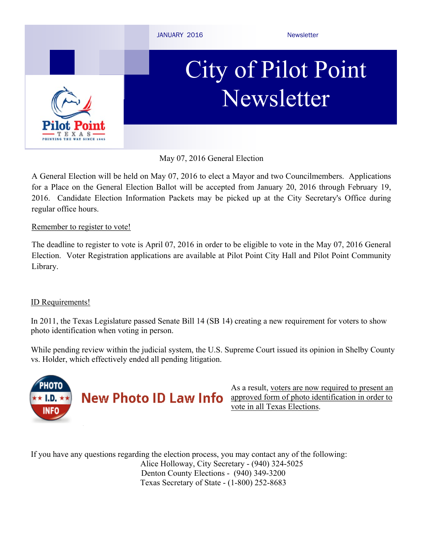

May 07, 2016 General Election

A General Election will be held on May 07, 2016 to elect a Mayor and two Councilmembers. Applications for a Place on the General Election Ballot will be accepted from January 20, 2016 through February 19, 2016. Candidate Election Information Packets may be picked up at the City Secretary's Office during regular office hours.

### Remember to register to vote!

The deadline to register to vote is April 07, 2016 in order to be eligible to vote in the May 07, 2016 General Election. Voter Registration applications are available at Pilot Point City Hall and Pilot Point Community Library.

## ID Requirements!

In 2011, the Texas Legislature passed Senate Bill 14 (SB 14) creating a new requirement for voters to show photo identification when voting in person.

While pending review within the judicial system, the U.S. Supreme Court issued its opinion in Shelby County vs. Holder, which effectively ended all pending litigation.



As a result, voters are now required to present an approved form of photo identification in order to vote in all Texas Elections.

If you have any questions regarding the election process, you may contact any of the following: Alice Holloway, City Secretary - (940) 324-5025 Denton County Elections - (940) 349-3200 Texas Secretary of State - (1-800) 252-8683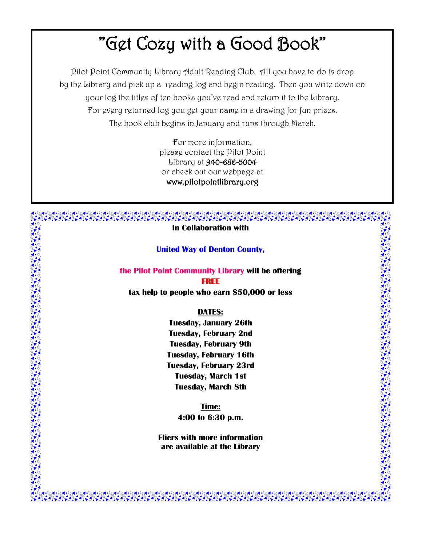# "Get Cozy with a Good Book"

Pilot Point Community Library Adult Reading Club. All you have to do is drop by the Library and pick up a reading log and begin reading. Then you write down on your log the titles of ten books you've read and return it to the Library. For every returned log you get your name in a drawing for fun prizes. The book club begins in January and runs through March.

> For more information, please contact the Pilot Point Library at 940-686-5004 or check out our webpage at www.pilotpointlibrary.org

#### **In Collaboration with**

#### **United Way of Denton County,**

**the Pilot Point Community Library will be offering**

**FREE**

**tax help to people who earn \$50,000 or less**

#### **DATES:**

**Tuesday, January 26th Tuesday, February 2nd Tuesday, February 9th Tuesday, February 16th Tuesday, February 23rd Tuesday, March 1st Tuesday, March 8th**

> **Time: 4:00 to 6:30 p.m.**

**Fliers with more information are available at the Library**